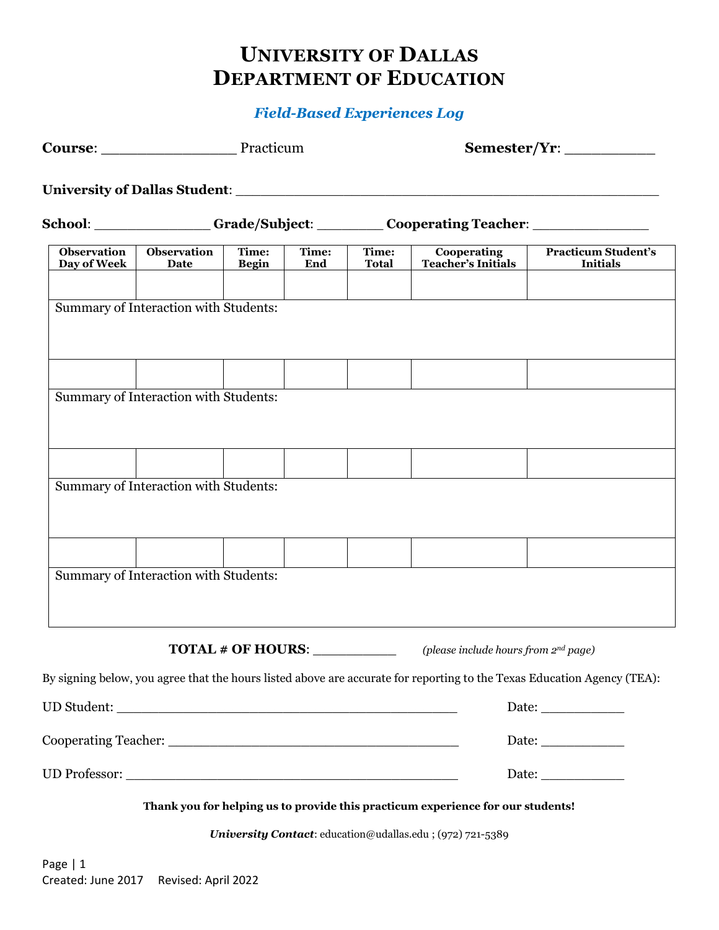## **UNIVERSITY OF DALLAS DEPARTMENT OF EDUCATION**

## *Field-Based Experiences Log*

|                                   |                                       | Course: Practicum     |              | Semester/Yr:          |                                                                                                                                               |                                                                                                                                  |  |
|-----------------------------------|---------------------------------------|-----------------------|--------------|-----------------------|-----------------------------------------------------------------------------------------------------------------------------------------------|----------------------------------------------------------------------------------------------------------------------------------|--|
|                                   |                                       |                       |              |                       |                                                                                                                                               |                                                                                                                                  |  |
|                                   |                                       |                       |              |                       | School: Grade/Subject: Cooperating Teacher: Cooperation                                                                                       |                                                                                                                                  |  |
| <b>Observation</b><br>Day of Week | <b>Observation</b><br>Date            | Time:<br><b>Begin</b> | Time:<br>End | Time:<br><b>Total</b> | Cooperating<br><b>Teacher's Initials</b>                                                                                                      | <b>Practicum Student's</b><br><b>Initials</b>                                                                                    |  |
|                                   | Summary of Interaction with Students: |                       |              |                       |                                                                                                                                               |                                                                                                                                  |  |
|                                   | Summary of Interaction with Students: |                       |              |                       |                                                                                                                                               |                                                                                                                                  |  |
|                                   | Summary of Interaction with Students: |                       |              |                       |                                                                                                                                               |                                                                                                                                  |  |
|                                   |                                       |                       |              |                       |                                                                                                                                               |                                                                                                                                  |  |
|                                   | Summary of Interaction with Students: |                       |              |                       |                                                                                                                                               |                                                                                                                                  |  |
|                                   |                                       | TOTAL # OF HOURS:     |              |                       | (please include hours from 2 <sup>nd</sup> page)                                                                                              |                                                                                                                                  |  |
|                                   |                                       |                       |              |                       |                                                                                                                                               | By signing below, you agree that the hours listed above are accurate for reporting to the Texas Education Agency (TEA):<br>Date: |  |
|                                   |                                       |                       |              |                       |                                                                                                                                               | Date:                                                                                                                            |  |
|                                   |                                       |                       |              |                       |                                                                                                                                               | Date:                                                                                                                            |  |
|                                   |                                       |                       |              |                       | Thank you for helping us to provide this practicum experience for our students!<br>University Contact: education@udallas.edu ; (972) 721-5389 |                                                                                                                                  |  |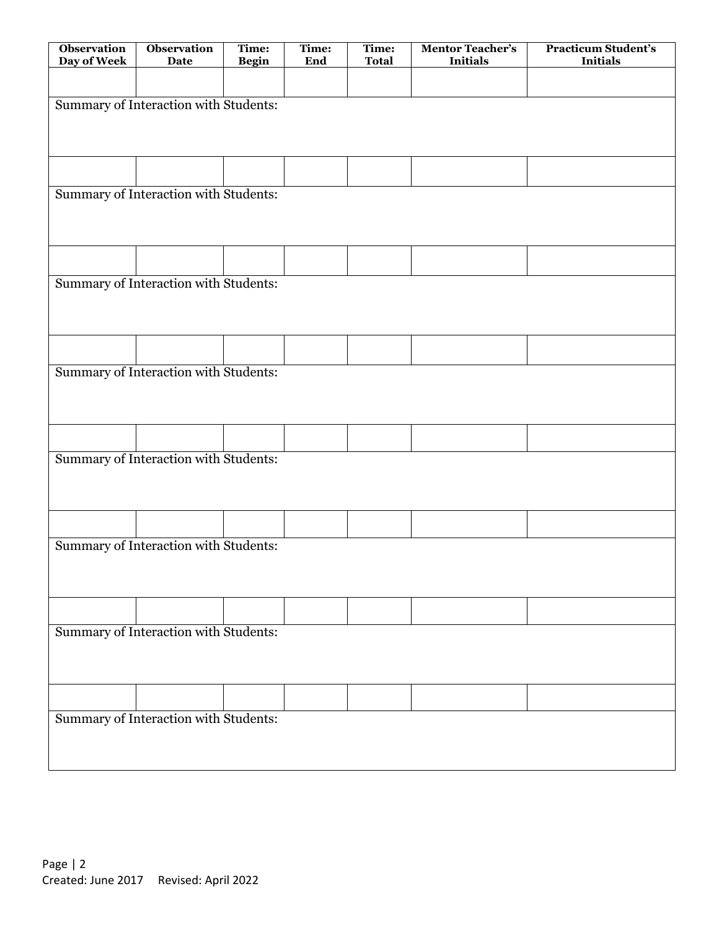| <b>Observation</b><br>Day of Week     | <b>Observation</b><br>Date            | Time:<br><b>Begin</b> | Time:<br>End | Time:<br><b>Total</b> | <b>Mentor Teacher's</b><br><b>Initials</b> | <b>Practicum Student's</b><br><b>Initials</b> |  |  |
|---------------------------------------|---------------------------------------|-----------------------|--------------|-----------------------|--------------------------------------------|-----------------------------------------------|--|--|
|                                       |                                       |                       |              |                       |                                            |                                               |  |  |
| Summary of Interaction with Students: |                                       |                       |              |                       |                                            |                                               |  |  |
|                                       |                                       |                       |              |                       |                                            |                                               |  |  |
|                                       |                                       |                       |              |                       |                                            |                                               |  |  |
|                                       |                                       |                       |              |                       |                                            |                                               |  |  |
| Summary of Interaction with Students: |                                       |                       |              |                       |                                            |                                               |  |  |
|                                       |                                       |                       |              |                       |                                            |                                               |  |  |
|                                       |                                       |                       |              |                       |                                            |                                               |  |  |
|                                       | Summary of Interaction with Students: |                       |              |                       |                                            |                                               |  |  |
|                                       |                                       |                       |              |                       |                                            |                                               |  |  |
|                                       |                                       |                       |              |                       |                                            |                                               |  |  |
|                                       | Summary of Interaction with Students: |                       |              |                       |                                            |                                               |  |  |
|                                       |                                       |                       |              |                       |                                            |                                               |  |  |
|                                       |                                       |                       |              |                       |                                            |                                               |  |  |
|                                       |                                       |                       |              |                       |                                            |                                               |  |  |
| Summary of Interaction with Students: |                                       |                       |              |                       |                                            |                                               |  |  |
|                                       |                                       |                       |              |                       |                                            |                                               |  |  |
|                                       |                                       |                       |              |                       |                                            |                                               |  |  |
|                                       | Summary of Interaction with Students: |                       |              |                       |                                            |                                               |  |  |
|                                       |                                       |                       |              |                       |                                            |                                               |  |  |
|                                       |                                       |                       |              |                       |                                            |                                               |  |  |
|                                       |                                       |                       |              |                       |                                            |                                               |  |  |
| Summary of Interaction with Students: |                                       |                       |              |                       |                                            |                                               |  |  |
|                                       |                                       |                       |              |                       |                                            |                                               |  |  |
|                                       |                                       |                       |              |                       |                                            |                                               |  |  |
| Summary of Interaction with Students: |                                       |                       |              |                       |                                            |                                               |  |  |
|                                       |                                       |                       |              |                       |                                            |                                               |  |  |
|                                       |                                       |                       |              |                       |                                            |                                               |  |  |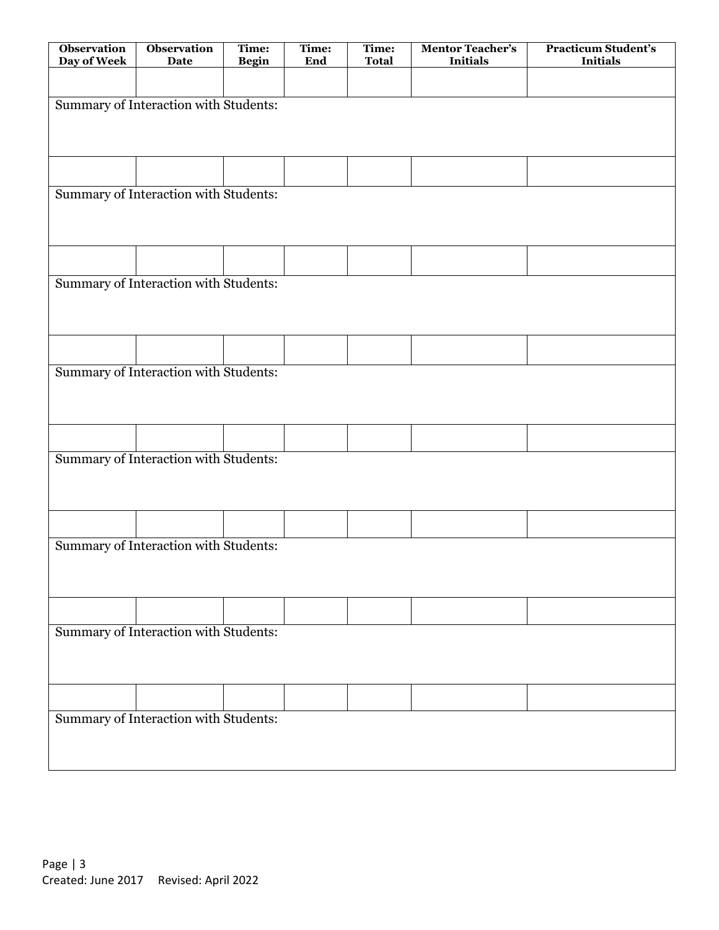| <b>Observation</b><br>Day of Week     | <b>Observation</b><br>Date            | Time:<br><b>Begin</b> | Time:<br>End | Time:<br><b>Total</b> | <b>Mentor Teacher's</b><br><b>Initials</b> | <b>Practicum Student's</b><br><b>Initials</b> |  |  |
|---------------------------------------|---------------------------------------|-----------------------|--------------|-----------------------|--------------------------------------------|-----------------------------------------------|--|--|
|                                       |                                       |                       |              |                       |                                            |                                               |  |  |
| Summary of Interaction with Students: |                                       |                       |              |                       |                                            |                                               |  |  |
|                                       |                                       |                       |              |                       |                                            |                                               |  |  |
|                                       |                                       |                       |              |                       |                                            |                                               |  |  |
|                                       |                                       |                       |              |                       |                                            |                                               |  |  |
| Summary of Interaction with Students: |                                       |                       |              |                       |                                            |                                               |  |  |
|                                       |                                       |                       |              |                       |                                            |                                               |  |  |
|                                       |                                       |                       |              |                       |                                            |                                               |  |  |
|                                       | Summary of Interaction with Students: |                       |              |                       |                                            |                                               |  |  |
|                                       |                                       |                       |              |                       |                                            |                                               |  |  |
|                                       |                                       |                       |              |                       |                                            |                                               |  |  |
|                                       | Summary of Interaction with Students: |                       |              |                       |                                            |                                               |  |  |
|                                       |                                       |                       |              |                       |                                            |                                               |  |  |
|                                       |                                       |                       |              |                       |                                            |                                               |  |  |
|                                       |                                       |                       |              |                       |                                            |                                               |  |  |
| Summary of Interaction with Students: |                                       |                       |              |                       |                                            |                                               |  |  |
|                                       |                                       |                       |              |                       |                                            |                                               |  |  |
|                                       |                                       |                       |              |                       |                                            |                                               |  |  |
|                                       | Summary of Interaction with Students: |                       |              |                       |                                            |                                               |  |  |
|                                       |                                       |                       |              |                       |                                            |                                               |  |  |
|                                       |                                       |                       |              |                       |                                            |                                               |  |  |
|                                       |                                       |                       |              |                       |                                            |                                               |  |  |
| Summary of Interaction with Students: |                                       |                       |              |                       |                                            |                                               |  |  |
|                                       |                                       |                       |              |                       |                                            |                                               |  |  |
|                                       |                                       |                       |              |                       |                                            |                                               |  |  |
| Summary of Interaction with Students: |                                       |                       |              |                       |                                            |                                               |  |  |
|                                       |                                       |                       |              |                       |                                            |                                               |  |  |
|                                       |                                       |                       |              |                       |                                            |                                               |  |  |